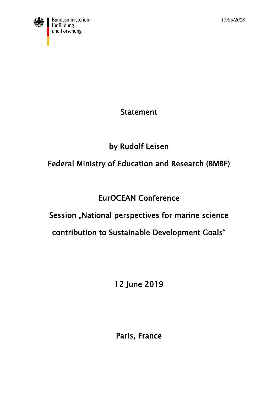

Statement

by Rudolf Leisen

## Federal Ministry of Education and Research (BMBF)

## EurOCEAN Conference

## Session "National perspectives for marine science

## contribution to Sustainable Development Goals"

12 June 2019

Paris, France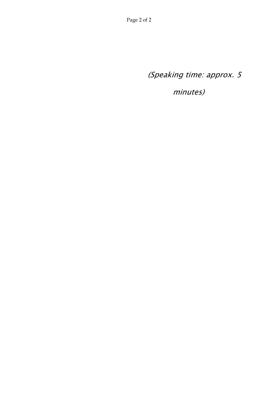(Speaking time: approx. 5

minutes)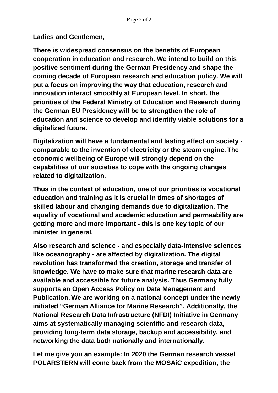**Ladies and Gentlemen,**

**There is widespread consensus on the benefits of European cooperation in education and research. We intend to build on this positive sentiment during the German Presidency and shape the coming decade of European research and education policy. We will put a focus on improving the way that education, research and innovation interact smoothly at European level. In short, the priorities of the Federal Ministry of Education and Research during the German EU Presidency will be to strengthen the role of education** *and* **science to develop and identify viable solutions for a digitalized future.** 

**Digitalization will have a fundamental and lasting effect on society comparable to the invention of electricity or the steam engine. The economic wellbeing of Europe will strongly depend on the capabilities of our societies to cope with the ongoing changes related to digitalization.**

**Thus in the context of education, one of our priorities is vocational education and training as it is crucial in times of shortages of skilled labour and changing demands due to digitalization. The equality of vocational and academic education and permeability are getting more and more important - this is one key topic of our minister in general.** 

**Also research and science - and especially data-intensive sciences like oceanography - are affected by digitalization. The digital revolution has transformed the creation, storage and transfer of knowledge. We have to make sure that marine research data are available and accessible for future analysis. Thus Germany fully supports an Open Access Policy on Data Management and Publication. We are working on a national concept under the newly initiated "German Alliance for Marine Research". Additionally, the National Research Data Infrastructure (NFDI) Initiative in Germany aims at systematically managing scientific and research data, providing long-term data storage, backup and accessibility, and networking the data both nationally and internationally.**

**Let me give you an example: In 2020 the German research vessel POLARSTERN will come back from the MOSAiC expedition, the**